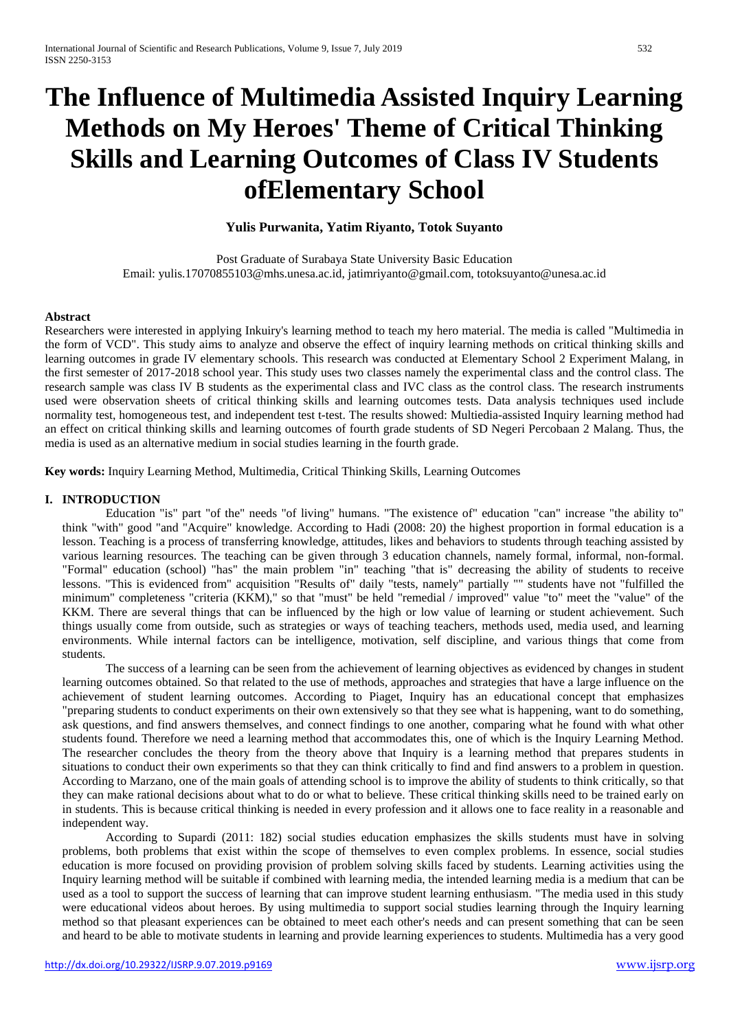# **The Influence of Multimedia Assisted Inquiry Learning Methods on My Heroes' Theme of Critical Thinking Skills and Learning Outcomes of Class IV Students ofElementary School**

# **Yulis Purwanita, Yatim Riyanto, Totok Suyanto**

Post Graduate of Surabaya State University Basic Education Email: yulis.17070855103@mhs.unesa.ac.id, jatimriyanto@gmail.com, totoksuyanto@unesa.ac.id

#### **Abstract**

Researchers were interested in applying Inkuiry's learning method to teach my hero material. The media is called "Multimedia in the form of VCD". This study aims to analyze and observe the effect of inquiry learning methods on critical thinking skills and learning outcomes in grade IV elementary schools. This research was conducted at Elementary School 2 Experiment Malang, in the first semester of 2017-2018 school year. This study uses two classes namely the experimental class and the control class. The research sample was class IV B students as the experimental class and IVC class as the control class. The research instruments used were observation sheets of critical thinking skills and learning outcomes tests. Data analysis techniques used include normality test, homogeneous test, and independent test t-test. The results showed: Multiedia-assisted Inquiry learning method had an effect on critical thinking skills and learning outcomes of fourth grade students of SD Negeri Percobaan 2 Malang. Thus, the media is used as an alternative medium in social studies learning in the fourth grade.

**Key words:** Inquiry Learning Method, Multimedia, Critical Thinking Skills, Learning Outcomes

## **I. INTRODUCTION**

Education "is" part "of the" needs "of living" humans. "The existence of" education "can" increase "the ability to" think "with" good "and "Acquire" knowledge. According to Hadi (2008: 20) the highest proportion in formal education is a lesson. Teaching is a process of transferring knowledge, attitudes, likes and behaviors to students through teaching assisted by various learning resources. The teaching can be given through 3 education channels, namely formal, informal, non-formal. "Formal" education (school) "has" the main problem "in" teaching "that is" decreasing the ability of students to receive lessons. "This is evidenced from" acquisition "Results of" daily "tests, namely" partially "" students have not "fulfilled the minimum" completeness "criteria (KKM)," so that "must" be held "remedial / improved" value "to" meet the "value" of the KKM. There are several things that can be influenced by the high or low value of learning or student achievement. Such things usually come from outside, such as strategies or ways of teaching teachers, methods used, media used, and learning environments. While internal factors can be intelligence, motivation, self discipline, and various things that come from students.

The success of a learning can be seen from the achievement of learning objectives as evidenced by changes in student learning outcomes obtained. So that related to the use of methods, approaches and strategies that have a large influence on the achievement of student learning outcomes. According to Piaget, Inquiry has an educational concept that emphasizes "preparing students to conduct experiments on their own extensively so that they see what is happening, want to do something, ask questions, and find answers themselves, and connect findings to one another, comparing what he found with what other students found. Therefore we need a learning method that accommodates this, one of which is the Inquiry Learning Method. The researcher concludes the theory from the theory above that Inquiry is a learning method that prepares students in situations to conduct their own experiments so that they can think critically to find and find answers to a problem in question. According to Marzano, one of the main goals of attending school is to improve the ability of students to think critically, so that they can make rational decisions about what to do or what to believe. These critical thinking skills need to be trained early on in students. This is because critical thinking is needed in every profession and it allows one to face reality in a reasonable and independent way.

According to Supardi (2011: 182) social studies education emphasizes the skills students must have in solving problems, both problems that exist within the scope of themselves to even complex problems. In essence, social studies education is more focused on providing provision of problem solving skills faced by students. Learning activities using the Inquiry learning method will be suitable if combined with learning media, the intended learning media is a medium that can be used as a tool to support the success of learning that can improve student learning enthusiasm. "The media used in this study were educational videos about heroes. By using multimedia to support social studies learning through the Inquiry learning method so that pleasant experiences can be obtained to meet each other's needs and can present something that can be seen and heard to be able to motivate students in learning and provide learning experiences to students. Multimedia has a very good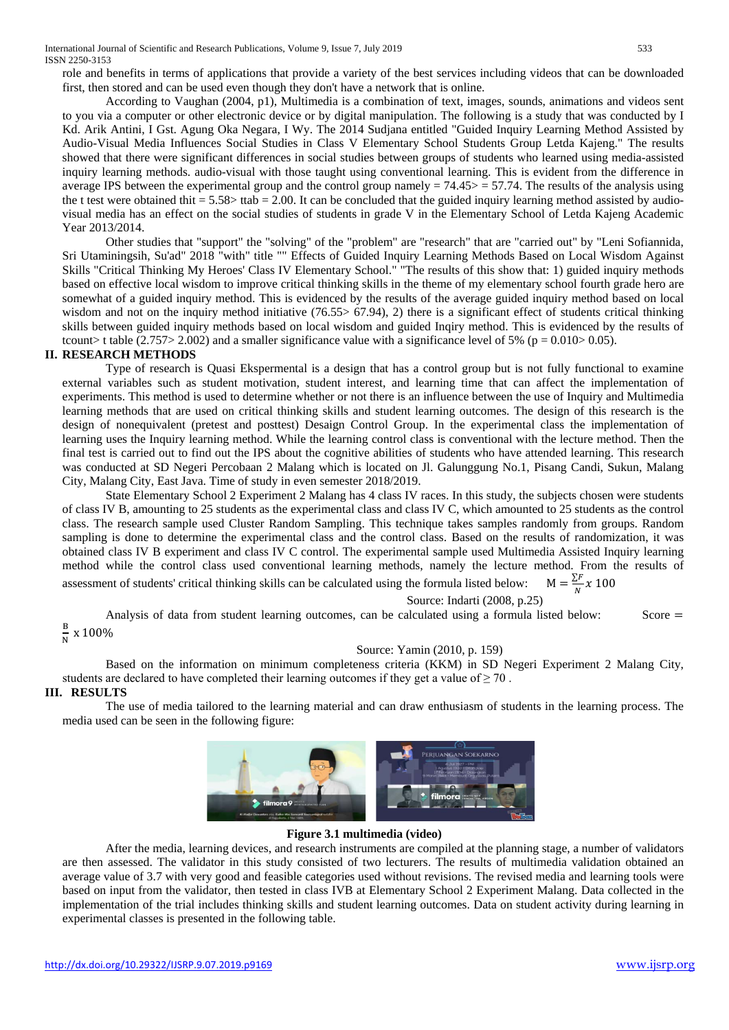International Journal of Scientific and Research Publications, Volume 9, Issue 7, July 2019 533 ISSN 2250-3153

role and benefits in terms of applications that provide a variety of the best services including videos that can be downloaded first, then stored and can be used even though they don't have a network that is online.

According to Vaughan (2004, p1), Multimedia is a combination of text, images, sounds, animations and videos sent to you via a computer or other electronic device or by digital manipulation. The following is a study that was conducted by I Kd. Arik Antini, I Gst. Agung Oka Negara, I Wy. The 2014 Sudjana entitled "Guided Inquiry Learning Method Assisted by Audio-Visual Media Influences Social Studies in Class V Elementary School Students Group Letda Kajeng." The results showed that there were significant differences in social studies between groups of students who learned using media-assisted inquiry learning methods. audio-visual with those taught using conventional learning. This is evident from the difference in average IPS between the experimental group and the control group namely  $= 74.45 \ge 57.74$ . The results of the analysis using the t test were obtained thit  $= 5.58$  ttab  $= 2.00$ . It can be concluded that the guided inquiry learning method assisted by audiovisual media has an effect on the social studies of students in grade V in the Elementary School of Letda Kajeng Academic Year 2013/2014.

Other studies that "support" the "solving" of the "problem" are "research" that are "carried out" by "Leni Sofiannida, Sri Utaminingsih, Su'ad" 2018 "with" title "" Effects of Guided Inquiry Learning Methods Based on Local Wisdom Against Skills "Critical Thinking My Heroes' Class IV Elementary School." "The results of this show that: 1) guided inquiry methods based on effective local wisdom to improve critical thinking skills in the theme of my elementary school fourth grade hero are somewhat of a guided inquiry method. This is evidenced by the results of the average guided inquiry method based on local wisdom and not on the inquiry method initiative (76.55 > 67.94), 2) there is a significant effect of students critical thinking skills between guided inquiry methods based on local wisdom and guided Inqiry method. This is evidenced by the results of tcount> t table (2.757> 2.002) and a smaller significance value with a significance level of 5% ( $p = 0.010 > 0.05$ ).

## **II. RESEARCH METHODS**

Type of research is Quasi Ekspermental is a design that has a control group but is not fully functional to examine external variables such as student motivation, student interest, and learning time that can affect the implementation of experiments. This method is used to determine whether or not there is an influence between the use of Inquiry and Multimedia learning methods that are used on critical thinking skills and student learning outcomes. The design of this research is the design of nonequivalent (pretest and posttest) Desaign Control Group. In the experimental class the implementation of learning uses the Inquiry learning method. While the learning control class is conventional with the lecture method. Then the final test is carried out to find out the IPS about the cognitive abilities of students who have attended learning. This research was conducted at SD Negeri Percobaan 2 Malang which is located on Jl. Galunggung No.1, Pisang Candi, Sukun, Malang City, Malang City, East Java. Time of study in even semester 2018/2019.

State Elementary School 2 Experiment 2 Malang has 4 class IV races. In this study, the subjects chosen were students of class IV B, amounting to 25 students as the experimental class and class IV C, which amounted to 25 students as the control class. The research sample used Cluster Random Sampling. This technique takes samples randomly from groups. Random sampling is done to determine the experimental class and the control class. Based on the results of randomization, it was obtained class IV B experiment and class IV C control. The experimental sample used Multimedia Assisted Inquiry learning method while the control class used conventional learning methods, namely the lecture method. From the results of assessment of students' critical thinking skills can be calculated using the formula listed below:  $\frac{2}{N}$  x 100

Source: Indarti (2008, p.25)

Analysis of data from student learning outcomes, can be calculated using a formula listed below: Score  $=$  $\frac{1}{N}$  x 100%

#### Source: Yamin (2010, p. 159)

Based on the information on minimum completeness criteria (KKM) in SD Negeri Experiment 2 Malang City, students are declared to have completed their learning outcomes if they get a value of  $\geq 70$ .

# **III. RESULTS**

The use of media tailored to the learning material and can draw enthusiasm of students in the learning process. The media used can be seen in the following figure:



#### **Figure 3.1 multimedia (video)**

After the media, learning devices, and research instruments are compiled at the planning stage, a number of validators are then assessed. The validator in this study consisted of two lecturers. The results of multimedia validation obtained an average value of 3.7 with very good and feasible categories used without revisions. The revised media and learning tools were based on input from the validator, then tested in class IVB at Elementary School 2 Experiment Malang. Data collected in the implementation of the trial includes thinking skills and student learning outcomes. Data on student activity during learning in experimental classes is presented in the following table.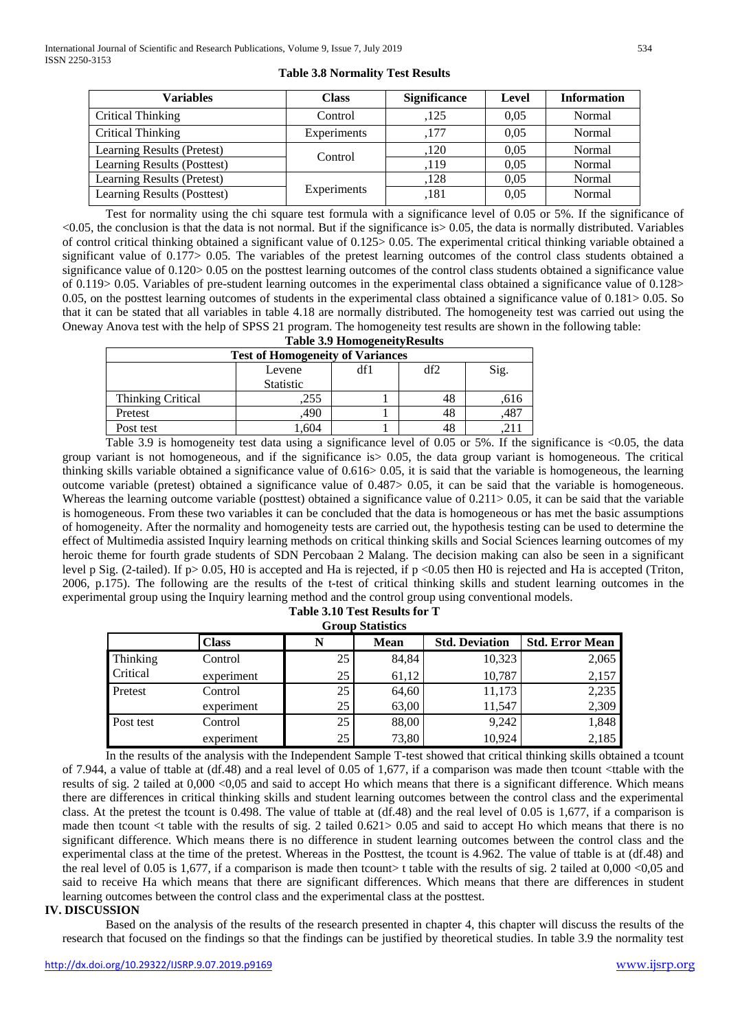| <b>Variables</b>            | <b>Class</b> | <b>Significance</b> | Level | <b>Information</b> |
|-----------------------------|--------------|---------------------|-------|--------------------|
| Critical Thinking           | Control      | .125                | 0.05  | Normal             |
| Critical Thinking           | Experiments  | .177                | 0.05  | Normal             |
| Learning Results (Pretest)  | Control      | ,120                | 0.05  | Normal             |
| Learning Results (Posttest) |              | ,119                | 0.05  | Normal             |
| Learning Results (Pretest)  |              | .128                | 0,05  | Normal             |
| Learning Results (Posttest) | Experiments  | .181                | 0.05  | Normal             |

**Table 3.8 Normality Test Results**

Test for normality using the chi square test formula with a significance level of 0.05 or 5%. If the significance of  $\leq$ 0.05, the conclusion is that the data is not normal. But if the significance is  $\geq$  0.05, the data is normally distributed. Variables of control critical thinking obtained a significant value of 0.125> 0.05. The experimental critical thinking variable obtained a significant value of 0.177> 0.05. The variables of the pretest learning outcomes of the control class students obtained a significance value of  $0.120 > 0.05$  on the posttest learning outcomes of the control class students obtained a significance value of 0.119> 0.05. Variables of pre-student learning outcomes in the experimental class obtained a significance value of 0.128> 0.05, on the posttest learning outcomes of students in the experimental class obtained a significance value of 0.181> 0.05. So that it can be stated that all variables in table 4.18 are normally distributed. The homogeneity test was carried out using the Oneway Anova test with the help of SPSS 21 program. The homogeneity test results are shown in the following table:

| <b>Table 3.9 Homogeneity Results</b>    |                  |  |     |      |  |  |  |
|-----------------------------------------|------------------|--|-----|------|--|--|--|
| <b>Test of Homogeneity of Variances</b> |                  |  |     |      |  |  |  |
|                                         | Levene           |  | df2 | Sig. |  |  |  |
|                                         | <b>Statistic</b> |  |     |      |  |  |  |
| <b>Thinking Critical</b>                | 255              |  | 48  | .616 |  |  |  |
| Pretest                                 | 490              |  | 48  | .487 |  |  |  |
| Post test                               | .604             |  | 48  |      |  |  |  |

Table 3.9 is homogeneity test data using a significance level of 0.05 or 5%. If the significance is <0.05, the data group variant is not homogeneous, and if the significance is  $> 0.05$ , the data group variant is homogeneous. The critical thinking skills variable obtained a significance value of 0.616> 0.05, it is said that the variable is homogeneous, the learning outcome variable (pretest) obtained a significance value of 0.487> 0.05, it can be said that the variable is homogeneous. Whereas the learning outcome variable (posttest) obtained a significance value of 0.211> 0.05, it can be said that the variable is homogeneous. From these two variables it can be concluded that the data is homogeneous or has met the basic assumptions of homogeneity. After the normality and homogeneity tests are carried out, the hypothesis testing can be used to determine the effect of Multimedia assisted Inquiry learning methods on critical thinking skills and Social Sciences learning outcomes of my heroic theme for fourth grade students of SDN Percobaan 2 Malang. The decision making can also be seen in a significant level p Sig. (2-tailed). If  $p > 0.05$ , H0 is accepted and Ha is rejected, if  $p < 0.05$  then H0 is rejected and Ha is accepted (Triton, 2006, p.175). The following are the results of the t-test of critical thinking skills and student learning outcomes in the experimental group using the Inquiry learning method and the control group using conventional models. **Table 3.10 Test Results for T**

| <b>Group Statistics</b> |              |    |             |                       |                        |  |  |  |
|-------------------------|--------------|----|-------------|-----------------------|------------------------|--|--|--|
|                         | <b>Class</b> | N  | <b>Mean</b> | <b>Std. Deviation</b> | <b>Std. Error Mean</b> |  |  |  |
| Thinking<br>Critical    | Control      | 25 | 84.84       | 10,323                | 2,065                  |  |  |  |
|                         | experiment   | 25 | 61,12       | 10,787                | 2,157                  |  |  |  |
| Pretest                 | Control      | 25 | 64,60       | 11,173                | 2,235                  |  |  |  |
|                         | experiment   | 25 | 63,00       | 11.547                | 2,309                  |  |  |  |
| Post test               | Control      | 25 | 88,00       | 9,242                 | 1,848                  |  |  |  |
|                         | experiment   | 25 | 73,80       | 10.924                | 2,185                  |  |  |  |

In the results of the analysis with the Independent Sample T-test showed that critical thinking skills obtained a tcount of 7.944, a value of ttable at (df.48) and a real level of 0.05 of 1,677, if a comparison was made then tcount <ttable with the results of sig. 2 tailed at 0,000 <0,05 and said to accept Ho which means that there is a significant difference. Which means there are differences in critical thinking skills and student learning outcomes between the control class and the experimental class. At the pretest the tcount is 0.498. The value of ttable at (df.48) and the real level of 0.05 is 1,677, if a comparison is made then tcount  $\lt$ t table with the results of sig. 2 tailed 0.621> 0.05 and said to accept Ho which means that there is no significant difference. Which means there is no difference in student learning outcomes between the control class and the experimental class at the time of the pretest. Whereas in the Posttest, the tcount is 4.962. The value of ttable is at (df.48) and the real level of 0.05 is 1,677, if a comparison is made then tcount> t table with the results of sig. 2 tailed at 0,000 <0.05 and said to receive Ha which means that there are significant differences. Which means that there are differences in student learning outcomes between the control class and the experimental class at the posttest.

# **IV. DISCUSSION**

Based on the analysis of the results of the research presented in chapter 4, this chapter will discuss the results of the research that focused on the findings so that the findings can be justified by theoretical studies. In table 3.9 the normality test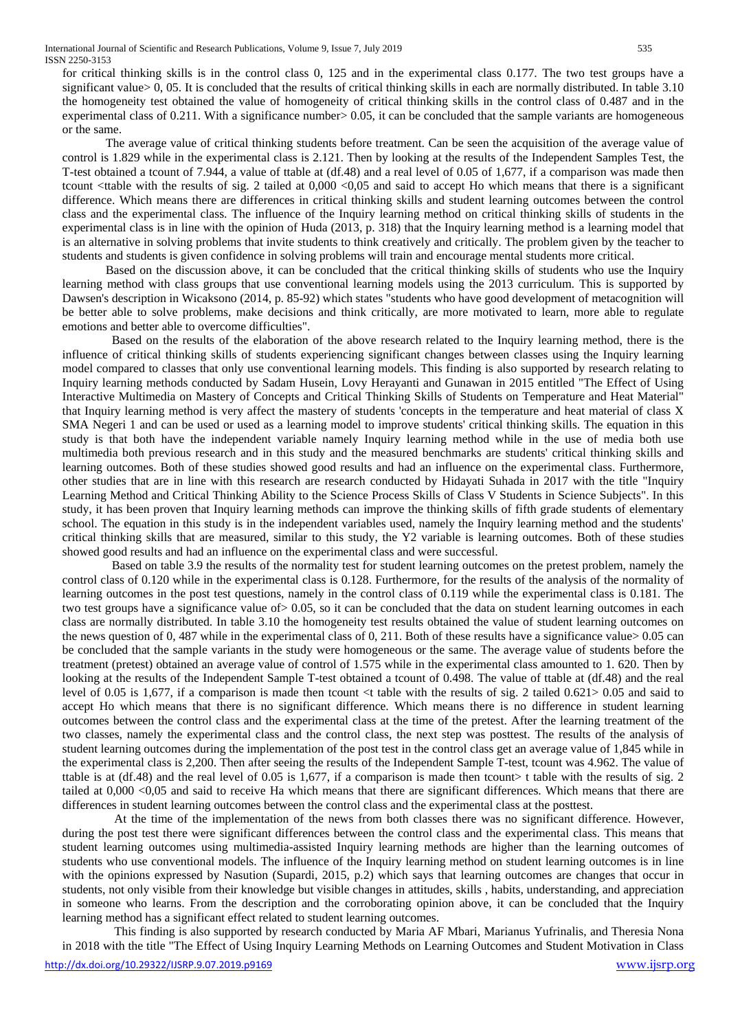for critical thinking skills is in the control class 0, 125 and in the experimental class 0.177. The two test groups have a significant value> 0, 05. It is concluded that the results of critical thinking skills in each are normally distributed. In table 3.10 the homogeneity test obtained the value of homogeneity of critical thinking skills in the control class of 0.487 and in the experimental class of  $0.211$ . With a significance number $> 0.05$ , it can be concluded that the sample variants are homogeneous or the same.

The average value of critical thinking students before treatment. Can be seen the acquisition of the average value of control is 1.829 while in the experimental class is 2.121. Then by looking at the results of the Independent Samples Test, the T-test obtained a tcount of 7.944, a value of ttable at (df.48) and a real level of 0.05 of 1,677, if a comparison was made then tcount <ttable with the results of sig. 2 tailed at 0,000 <0,05 and said to accept Ho which means that there is a significant difference. Which means there are differences in critical thinking skills and student learning outcomes between the control class and the experimental class. The influence of the Inquiry learning method on critical thinking skills of students in the experimental class is in line with the opinion of Huda (2013, p. 318) that the Inquiry learning method is a learning model that is an alternative in solving problems that invite students to think creatively and critically. The problem given by the teacher to students and students is given confidence in solving problems will train and encourage mental students more critical.

Based on the discussion above, it can be concluded that the critical thinking skills of students who use the Inquiry learning method with class groups that use conventional learning models using the 2013 curriculum. This is supported by Dawsen's description in Wicaksono (2014, p. 85-92) which states "students who have good development of metacognition will be better able to solve problems, make decisions and think critically, are more motivated to learn, more able to regulate emotions and better able to overcome difficulties".

Based on the results of the elaboration of the above research related to the Inquiry learning method, there is the influence of critical thinking skills of students experiencing significant changes between classes using the Inquiry learning model compared to classes that only use conventional learning models. This finding is also supported by research relating to Inquiry learning methods conducted by Sadam Husein, Lovy Herayanti and Gunawan in 2015 entitled "The Effect of Using Interactive Multimedia on Mastery of Concepts and Critical Thinking Skills of Students on Temperature and Heat Material" that Inquiry learning method is very affect the mastery of students 'concepts in the temperature and heat material of class X SMA Negeri 1 and can be used or used as a learning model to improve students' critical thinking skills. The equation in this study is that both have the independent variable namely Inquiry learning method while in the use of media both use multimedia both previous research and in this study and the measured benchmarks are students' critical thinking skills and learning outcomes. Both of these studies showed good results and had an influence on the experimental class. Furthermore, other studies that are in line with this research are research conducted by Hidayati Suhada in 2017 with the title "Inquiry Learning Method and Critical Thinking Ability to the Science Process Skills of Class V Students in Science Subjects". In this study, it has been proven that Inquiry learning methods can improve the thinking skills of fifth grade students of elementary school. The equation in this study is in the independent variables used, namely the Inquiry learning method and the students' critical thinking skills that are measured, similar to this study, the Y2 variable is learning outcomes. Both of these studies showed good results and had an influence on the experimental class and were successful.

Based on table 3.9 the results of the normality test for student learning outcomes on the pretest problem, namely the control class of 0.120 while in the experimental class is 0.128. Furthermore, for the results of the analysis of the normality of learning outcomes in the post test questions, namely in the control class of 0.119 while the experimental class is 0.181. The two test groups have a significance value of> 0.05, so it can be concluded that the data on student learning outcomes in each class are normally distributed. In table 3.10 the homogeneity test results obtained the value of student learning outcomes on the news question of 0, 487 while in the experimental class of 0, 211. Both of these results have a significance value  $> 0.05$  can be concluded that the sample variants in the study were homogeneous or the same. The average value of students before the treatment (pretest) obtained an average value of control of 1.575 while in the experimental class amounted to 1. 620. Then by looking at the results of the Independent Sample T-test obtained a tcount of 0.498. The value of ttable at (df.48) and the real level of 0.05 is 1,677, if a comparison is made then tcount <t table with the results of sig. 2 tailed 0.621> 0.05 and said to accept Ho which means that there is no significant difference. Which means there is no difference in student learning outcomes between the control class and the experimental class at the time of the pretest. After the learning treatment of the two classes, namely the experimental class and the control class, the next step was posttest. The results of the analysis of student learning outcomes during the implementation of the post test in the control class get an average value of 1,845 while in the experimental class is 2,200. Then after seeing the results of the Independent Sample T-test, tcount was 4.962. The value of ttable is at  $(df.48)$  and the real level of 0.05 is 1,677, if a comparison is made then tcount> t table with the results of sig. 2 tailed at 0,000 <0,05 and said to receive Ha which means that there are significant differences. Which means that there are differences in student learning outcomes between the control class and the experimental class at the posttest.

At the time of the implementation of the news from both classes there was no significant difference. However, during the post test there were significant differences between the control class and the experimental class. This means that student learning outcomes using multimedia-assisted Inquiry learning methods are higher than the learning outcomes of students who use conventional models. The influence of the Inquiry learning method on student learning outcomes is in line with the opinions expressed by Nasution (Supardi, 2015, p.2) which says that learning outcomes are changes that occur in students, not only visible from their knowledge but visible changes in attitudes, skills , habits, understanding, and appreciation in someone who learns. From the description and the corroborating opinion above, it can be concluded that the Inquiry learning method has a significant effect related to student learning outcomes.

This finding is also supported by research conducted by Maria AF Mbari, Marianus Yufrinalis, and Theresia Nona in 2018 with the title "The Effect of Using Inquiry Learning Methods on Learning Outcomes and Student Motivation in Class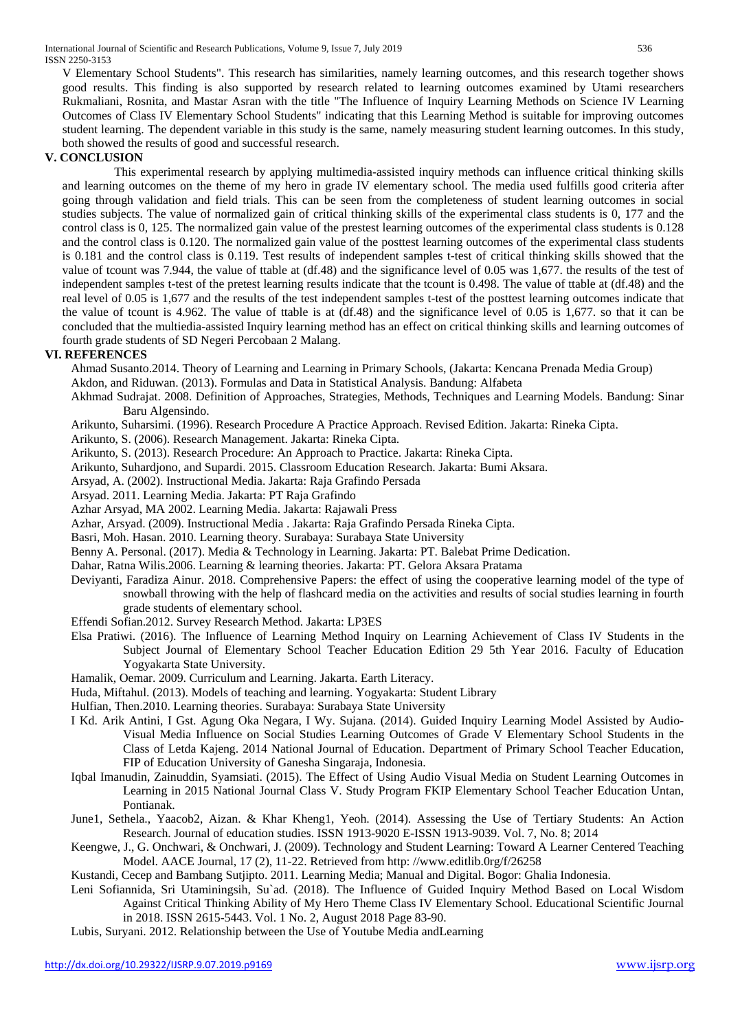V Elementary School Students". This research has similarities, namely learning outcomes, and this research together shows good results. This finding is also supported by research related to learning outcomes examined by Utami researchers Rukmaliani, Rosnita, and Mastar Asran with the title "The Influence of Inquiry Learning Methods on Science IV Learning Outcomes of Class IV Elementary School Students" indicating that this Learning Method is suitable for improving outcomes student learning. The dependent variable in this study is the same, namely measuring student learning outcomes. In this study, both showed the results of good and successful research.

# **V. CONCLUSION**

This experimental research by applying multimedia-assisted inquiry methods can influence critical thinking skills and learning outcomes on the theme of my hero in grade IV elementary school. The media used fulfills good criteria after going through validation and field trials. This can be seen from the completeness of student learning outcomes in social studies subjects. The value of normalized gain of critical thinking skills of the experimental class students is 0, 177 and the control class is 0, 125. The normalized gain value of the prestest learning outcomes of the experimental class students is 0.128 and the control class is 0.120. The normalized gain value of the posttest learning outcomes of the experimental class students is 0.181 and the control class is 0.119. Test results of independent samples t-test of critical thinking skills showed that the value of tcount was 7.944, the value of ttable at (df.48) and the significance level of 0.05 was 1,677. the results of the test of independent samples t-test of the pretest learning results indicate that the tcount is 0.498. The value of ttable at (df.48) and the real level of 0.05 is 1,677 and the results of the test independent samples t-test of the posttest learning outcomes indicate that the value of tcount is 4.962. The value of ttable is at (df.48) and the significance level of 0.05 is 1,677. so that it can be concluded that the multiedia-assisted Inquiry learning method has an effect on critical thinking skills and learning outcomes of fourth grade students of SD Negeri Percobaan 2 Malang.

## **VI. REFERENCES**

Ahmad Susanto.2014. Theory of Learning and Learning in Primary Schools, (Jakarta: Kencana Prenada Media Group)

- Akdon, and Riduwan. (2013). Formulas and Data in Statistical Analysis. Bandung: Alfabeta
- Akhmad Sudrajat. 2008. Definition of Approaches, Strategies, Methods, Techniques and Learning Models. Bandung: Sinar Baru Algensindo.
- Arikunto, Suharsimi. (1996). Research Procedure A Practice Approach. Revised Edition. Jakarta: Rineka Cipta.
- Arikunto, S. (2006). Research Management. Jakarta: Rineka Cipta.
- Arikunto, S. (2013). Research Procedure: An Approach to Practice. Jakarta: Rineka Cipta.
- Arikunto, Suhardjono, and Supardi. 2015. Classroom Education Research. Jakarta: Bumi Aksara.
- Arsyad, A. (2002). Instructional Media. Jakarta: Raja Grafindo Persada
- Arsyad. 2011. Learning Media. Jakarta: PT Raja Grafindo
- Azhar Arsyad, MA 2002. Learning Media. Jakarta: Rajawali Press
- Azhar, Arsyad. (2009). Instructional Media . Jakarta: Raja Grafindo Persada Rineka Cipta.
- Basri, Moh. Hasan. 2010. Learning theory. Surabaya: Surabaya State University
- Benny A. Personal. (2017). Media & Technology in Learning. Jakarta: PT. Balebat Prime Dedication.
- Dahar, Ratna Wilis.2006. Learning & learning theories. Jakarta: PT. Gelora Aksara Pratama
- Deviyanti, Faradiza Ainur. 2018. Comprehensive Papers: the effect of using the cooperative learning model of the type of snowball throwing with the help of flashcard media on the activities and results of social studies learning in fourth grade students of elementary school.
- Effendi Sofian.2012. Survey Research Method. Jakarta: LP3ES
- Elsa Pratiwi. (2016). The Influence of Learning Method Inquiry on Learning Achievement of Class IV Students in the Subject Journal of Elementary School Teacher Education Edition 29 5th Year 2016. Faculty of Education Yogyakarta State University.
- Hamalik, Oemar. 2009. Curriculum and Learning. Jakarta. Earth Literacy.
- Huda, Miftahul. (2013). Models of teaching and learning. Yogyakarta: Student Library
- Hulfian, Then.2010. Learning theories. Surabaya: Surabaya State University
- I Kd. Arik Antini, I Gst. Agung Oka Negara, I Wy. Sujana. (2014). Guided Inquiry Learning Model Assisted by Audio-Visual Media Influence on Social Studies Learning Outcomes of Grade V Elementary School Students in the Class of Letda Kajeng. 2014 National Journal of Education. Department of Primary School Teacher Education, FIP of Education University of Ganesha Singaraja, Indonesia.
- Iqbal Imanudin, Zainuddin, Syamsiati. (2015). The Effect of Using Audio Visual Media on Student Learning Outcomes in Learning in 2015 National Journal Class V. Study Program FKIP Elementary School Teacher Education Untan, Pontianak.
- June1, Sethela., Yaacob2, Aizan. & Khar Kheng1, Yeoh. (2014). Assessing the Use of Tertiary Students: An Action Research. Journal of education studies. ISSN 1913-9020 E-ISSN 1913-9039. Vol. 7, No. 8; 2014
- Keengwe, J., G. Onchwari, & Onchwari, J. (2009). Technology and Student Learning: Toward A Learner Centered Teaching Model. AACE Journal, 17 (2), 11-22. Retrieved from http: //www.editlib.0rg/f/26258
- Kustandi, Cecep and Bambang Sutjipto. 2011. Learning Media; Manual and Digital. Bogor: Ghalia Indonesia.
- Leni Sofiannida, Sri Utaminingsih, Su`ad. (2018). The Influence of Guided Inquiry Method Based on Local Wisdom Against Critical Thinking Ability of My Hero Theme Class IV Elementary School. Educational Scientific Journal in 2018. ISSN 2615-5443. Vol. 1 No. 2, August 2018 Page 83-90.
- Lubis, Suryani. 2012. Relationship between the Use of Youtube Media andLearning